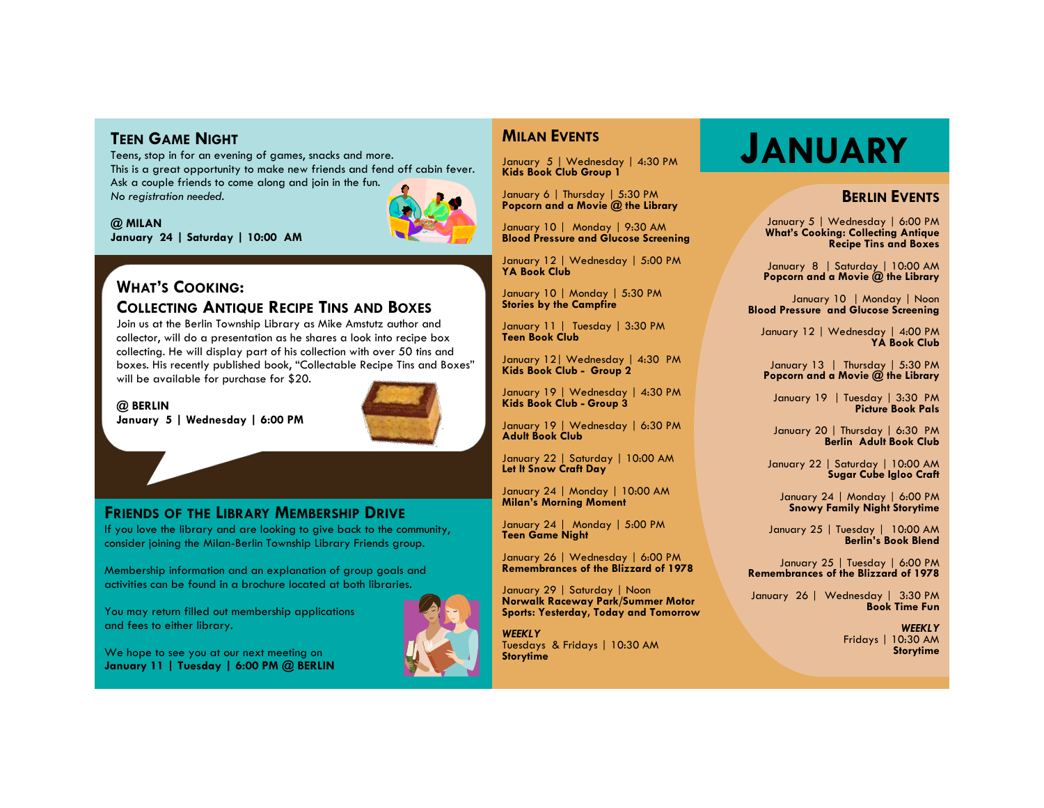**TEEN GAME NIGHT**<br>Teens, stop in for an evening of games, snacks and more.<br> **JANUARY** Teens, stop in for an evening of games, snacks and more. This is a great opportunity to make new friends and fend off cabin fever. Ask a couple friends to come along and join in the fun. *No registration needed.*

#### **@ MILAN**

**January 24 | Saturday | 10:00 AM** 



# **WHAT'S COOKING: COLLECTING ANTIQUE RECIPE TINS AND BOXES**

Join us at the Berlin Township Library as Mike Amstutz author and collector, will do a presentation as he shares a look into recipe box collecting. He will display part of his collection with over 50 tins and boxes. His recently published book, "Collectable Recipe Tins and Boxes" will be available for purchase for \$20.

#### **@ BERLIN**

**January 5 | Wednesday | 6:00 PM** 



## **FRIENDS OF THE LIBRARY MEMBERSHIP DRIVE**

If you love the library and are looking to give back to the community, consider joining the Milan-Berlin Township Library Friends group.

Membership information and an explanation of group goals and activities can be found in a brochure located at both libraries.

You may return filled out membership applications and fees to either library.

We hope to see you at our next meeting on **January 11 | Tuesday | 6:00 PM @ BERLIN**



## **MILAN EVENTS**

January 5 | Wednesday | 4:30 PM **Kids Book Club Group 1**

January 6 | Thursday | 5:30 PM **Popcorn and a Movie @ the Library**

January 10 | Monday | 9:30 AM **Blood Pressure and Glucose Screening**

January 12 | Wednesday | 5:00 PM **YA Book Club** 

January 10 | Monday | 5:30 PM **Stories by the Campfire**

January 11 | Tuesday | 3:30 PM **Teen Book Club**

January 12| Wednesday | 4:30 PM **Kids Book Club - Group 2**

January 19 | Wednesday | 4:30 PM **Kids Book Club - Group 3**

January 19 | Wednesday | 6:30 PM **Adult Book Club**

January 22 | Saturday | 10:00 AM **Let It Snow Craft Day**

January 24 | Monday | 10:00 AM **Milan's Morning Moment**

January 24 | Monday | 5:00 PM **Teen Game Night** 

January 26 | Wednesday | 6:00 PM **Remembrances of the Blizzard of 1978**

January 29 | Saturday | Noon **Norwalk Raceway Park/Summer Motor Sports: Yesterday, Today and Tomorrow**

*WEEKLY* Tuesdays & Fridays | 10:30 AM **Storytime**

## **BERLIN EVENTS**

January 5 | Wednesday | 6:00 PM **What's Cooking: Collecting Antique Recipe Tins and Boxes** 

January 8 | Saturday | 10:00 AM **Popcorn and a Movie @ the Library**

January 10 | Monday | Noon **Blood Pressure and Glucose Screening** 

January 12 | Wednesday | 4:00 PM **YA Book Club**

January 13 | Thursday | 5:30 PM **Popcorn and a Movie @ the Library**

January 19 | Tuesday | 3:30 PM **Picture Book Pals** 

January 20 | Thursday | 6:30 PM **Berlin Adult Book Club**

January 22 | Saturday | 10:00 AM **Sugar Cube Igloo Craft**

January 24 | Monday | 6:00 PM **Snowy Family Night Storytime**

January 25 | Tuesday | 10:00 AM **Berlin's Book Blend**

January 25 | Tuesday | 6:00 PM **Remembrances of the Blizzard of 1978**

January 26 | Wednesday | 3:30 PM **Book Time Fun**

> *WEEKLY* Fridays | 10:30 AM **Storytime**